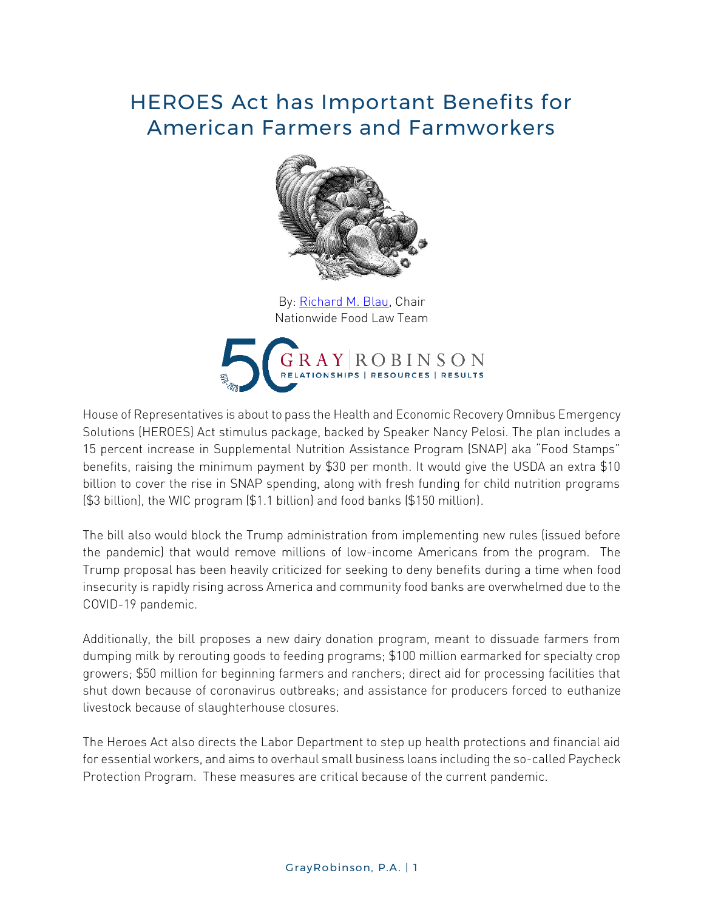## HEROES Act has Important Benefits for American Farmers and Farmworkers



By: [Richard M. Blau,](http://www.gray-robinson.com/attorneys-professionals/richard-m-blau) Chair Nationwide Food Law Team



House of Representatives is about to pass the Health and Economic Recovery Omnibus Emergency Solutions (HEROES) Act stimulus package, backed by Speaker Nancy Pelosi. The plan includes a 15 percent increase in Supplemental Nutrition Assistance Program (SNAP) aka "Food Stamps" benefits, raising the minimum payment by \$30 per month. It would give the USDA an extra \$10 billion to cover the rise in SNAP spending, along with fresh funding for child nutrition programs (\$3 billion), the WIC program (\$1.1 billion) and food banks (\$150 million).

The bill also would block the Trump administration from implementing new rules (issued before the pandemic) that would remove millions of low-income Americans from the program. The Trump proposal has been heavily criticized for seeking to deny benefits during a time when food insecurity is rapidly rising across America and community food banks are overwhelmed due to the COVID-19 pandemic.

Additionally, the bill proposes a new dairy donation program, meant to dissuade farmers from dumping milk by rerouting goods to feeding programs; \$100 million earmarked for specialty crop growers; \$50 million for beginning farmers and ranchers; direct aid for processing facilities that shut down because of coronavirus outbreaks; and assistance for producers forced to euthanize livestock because of slaughterhouse closures.

The Heroes Act also directs the Labor Department to step up health protections and financial aid for essential workers, and aims to overhaul small business loans including the so-called Paycheck Protection Program. These measures are critical because of the current pandemic.